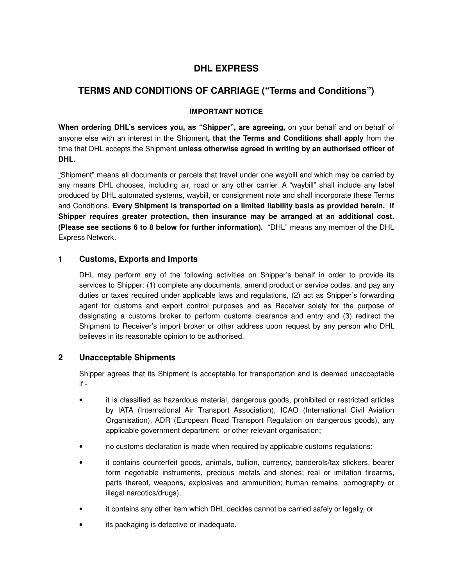# **DHL EXPRESS**

## **TERMS AND CONDITIONS OF CARRIAGE ("Terms and Conditions")**

## **IMPORTANT NOTICE**

**When ordering DHL's services you, as "Shipper", are agreeing,** on your behalf and on behalf of anyone else with an interest in the Shipment**, that the Terms and Conditions shall apply** from the time that DHL accepts the Shipment **unless otherwise agreed in writing by an authorised officer of DHL.** 

"Shipment" means all documents or parcels that travel under one waybill and which may be carried by any means DHL chooses, including air, road or any other carrier. A "waybill" shall include any label produced by DHL automated systems, waybill, or consignment note and shall incorporate these Terms and Conditions. **Every Shipment is transported on a limited liability basis as provided herein. If Shipper requires greater protection, then insurance may be arranged at an additional cost. (Please see sections 6 to 8 below for further information).** "DHL" means any member of the DHL Express Network.

### **1 Customs, Exports and Imports**

DHL may perform any of the following activities on Shipper's behalf in order to provide its services to Shipper: (1) complete any documents, amend product or service codes, and pay any duties or taxes required under applicable laws and regulations, (2) act as Shipper's forwarding agent for customs and export control purposes and as Receiver solely for the purpose of designating a customs broker to perform customs clearance and entry and (3) redirect the Shipment to Receiver's import broker or other address upon request by any person who DHL believes in its reasonable opinion to be authorised.

## **2 Unacceptable Shipments**

Shipper agrees that its Shipment is acceptable for transportation and is deemed unacceptable if:-

- it is classified as hazardous material, dangerous goods, prohibited or restricted articles by IATA (International Air Transport Association), ICAO (International Civil Aviation Organisation), ADR (European Road Transport Regulation on dangerous goods), any applicable government department or other relevant organisation;
- no customs declaration is made when required by applicable customs regulations;
- it contains counterfeit goods, animals, bullion, currency, banderols/tax stickers, bearer form negotiable instruments, precious metals and stones; real or imitation firearms, parts thereof, weapons, explosives and ammunition; human remains, pornography or illegal narcotics/drugs),
- it contains any other item which DHL decides cannot be carried safely or legally, or
- its packaging is defective or inadequate.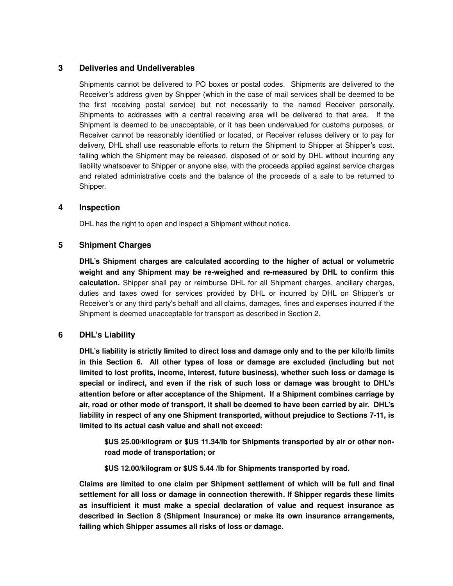## **3 Deliveries and Undeliverables**

Shipments cannot be delivered to PO boxes or postal codes. Shipments are delivered to the Receiver's address given by Shipper (which in the case of mail services shall be deemed to be the first receiving postal service) but not necessarily to the named Receiver personally. Shipments to addresses with a central receiving area will be delivered to that area. If the Shipment is deemed to be unacceptable, or it has been undervalued for customs purposes, or Receiver cannot be reasonably identified or located, or Receiver refuses delivery or to pay for delivery, DHL shall use reasonable efforts to return the Shipment to Shipper at Shipper's cost, failing which the Shipment may be released, disposed of or sold by DHL without incurring any liability whatsoever to Shipper or anyone else, with the proceeds applied against service charges and related administrative costs and the balance of the proceeds of a sale to be returned to Shipper.

#### **4 Inspection**

DHL has the right to open and inspect a Shipment without notice.

### **5 Shipment Charges**

**DHL's Shipment charges are calculated according to the higher of actual or volumetric weight and any Shipment may be re-weighed and re-measured by DHL to confirm this calculation.** Shipper shall pay or reimburse DHL for all Shipment charges, ancillary charges, duties and taxes owed for services provided by DHL or incurred by DHL on Shipper's or Receiver's or any third party's behalf and all claims, damages, fines and expenses incurred if the Shipment is deemed unacceptable for transport as described in Section 2.

## **6 DHL's Liability**

**DHL's liability is strictly limited to direct loss and damage only and to the per kilo/Ib limits in this Section 6. All other types of loss or damage are excluded (including but not limited to lost profits, income, interest, future business), whether such loss or damage is special or indirect, and even if the risk of such loss or damage was brought to DHL's attention before or after acceptance of the Shipment. If a Shipment combines carriage by air, road or other mode of transport, it shall be deemed to have been carried by air. DHL's liability in respect of any one Shipment transported, without prejudice to Sections 7-11, is limited to its actual cash value and shall not exceed:** 

**\$US 25.00/kilogram or \$US 11.34/lb for Shipments transported by air or other nonroad mode of transportation; or** 

**\$US 12.00/kilogram or \$US 5.44 /lb for Shipments transported by road.** 

**Claims are limited to one claim per Shipment settlement of which will be full and final settlement for all loss or damage in connection therewith. If Shipper regards these limits as insufficient it must make a special declaration of value and request insurance as described in Section 8 (Shipment Insurance) or make its own insurance arrangements, failing which Shipper assumes all risks of loss or damage.**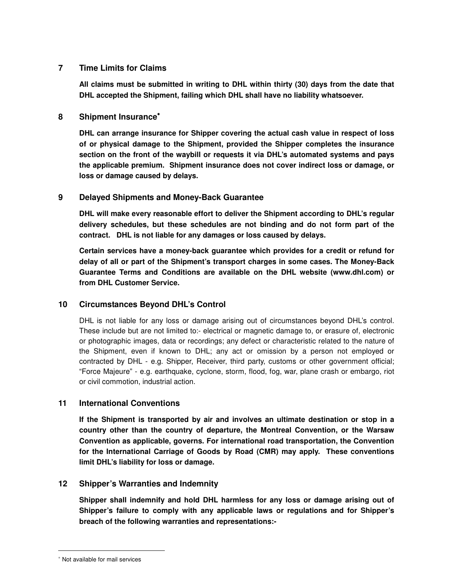### **7 Time Limits for Claims**

**All claims must be submitted in writing to DHL within thirty (30) days from the date that DHL accepted the Shipment, failing which DHL shall have no liability whatsoever.** 

#### **8 Shipment Insurance**<sup>∗</sup>

**DHL can arrange insurance for Shipper covering the actual cash value in respect of loss of or physical damage to the Shipment, provided the Shipper completes the insurance section on the front of the waybill or requests it via DHL's automated systems and pays the applicable premium. Shipment insurance does not cover indirect loss or damage, or loss or damage caused by delays.** 

### **9 Delayed Shipments and Money-Back Guarantee**

**DHL will make every reasonable effort to deliver the Shipment according to DHL's regular delivery schedules, but these schedules are not binding and do not form part of the contract. DHL is not liable for any damages or loss caused by delays.** 

**Certain services have a money-back guarantee which provides for a credit or refund for delay of all or part of the Shipment's transport charges in some cases. The Money-Back Guarantee Terms and Conditions are available on the DHL website (www.dhl.com) or from DHL Customer Service.** 

## **10 Circumstances Beyond DHL's Control**

DHL is not liable for any loss or damage arising out of circumstances beyond DHL's control. These include but are not limited to:- electrical or magnetic damage to, or erasure of, electronic or photographic images, data or recordings; any defect or characteristic related to the nature of the Shipment, even if known to DHL; any act or omission by a person not employed or contracted by DHL - e.g. Shipper, Receiver, third party, customs or other government official; "Force Majeure" - e.g. earthquake, cyclone, storm, flood, fog, war, plane crash or embargo, riot or civil commotion, industrial action.

## **11 International Conventions**

**If the Shipment is transported by air and involves an ultimate destination or stop in a country other than the country of departure, the Montreal Convention, or the Warsaw Convention as applicable, governs. For international road transportation, the Convention for the International Carriage of Goods by Road (CMR) may apply. These conventions limit DHL's liability for loss or damage.** 

#### **12 Shipper's Warranties and Indemnity**

**Shipper shall indemnify and hold DHL harmless for any loss or damage arising out of Shipper's failure to comply with any applicable laws or regulations and for Shipper's breach of the following warranties and representations:-** 

l

<sup>∗</sup> Not available for mail services